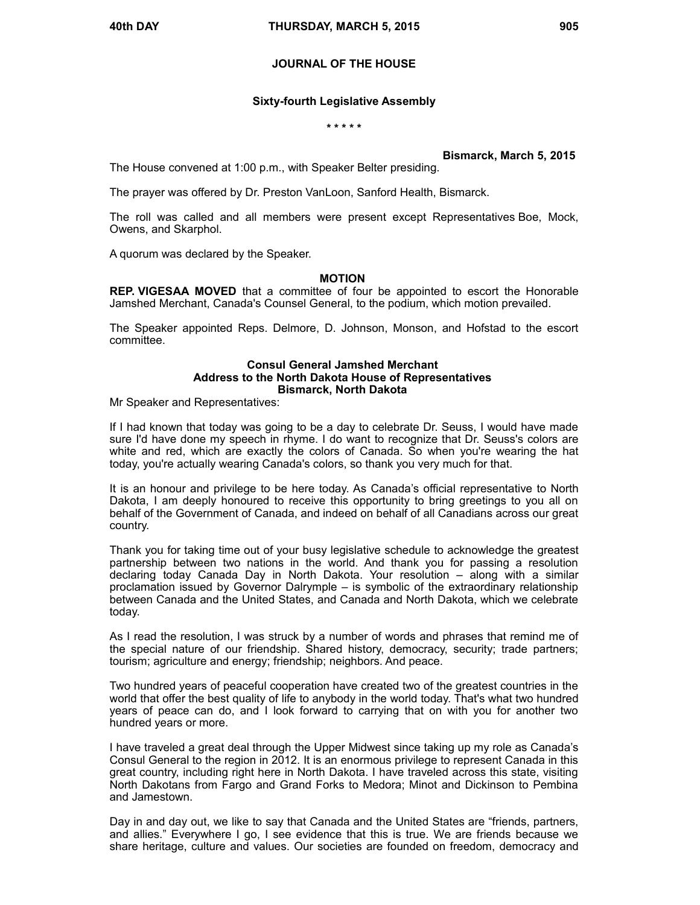# **JOURNAL OF THE HOUSE**

## **Sixty-fourth Legislative Assembly**

### **\* \* \* \* \***

## **Bismarck, March 5, 2015**

The House convened at 1:00 p.m., with Speaker Belter presiding.

The prayer was offered by Dr. Preston VanLoon, Sanford Health, Bismarck.

The roll was called and all members were present except Representatives Boe, Mock, Owens, and Skarphol.

A quorum was declared by the Speaker.

## **MOTION**

**REP. VIGESAA MOVED** that a committee of four be appointed to escort the Honorable Jamshed Merchant, Canada's Counsel General, to the podium, which motion prevailed.

The Speaker appointed Reps. Delmore, D. Johnson, Monson, and Hofstad to the escort committee.

### **Consul General Jamshed Merchant Address to the North Dakota House of Representatives Bismarck, North Dakota**

Mr Speaker and Representatives:

If I had known that today was going to be a day to celebrate Dr. Seuss, I would have made sure I'd have done my speech in rhyme. I do want to recognize that Dr. Seuss's colors are white and red, which are exactly the colors of Canada. So when you're wearing the hat today, you're actually wearing Canada's colors, so thank you very much for that.

It is an honour and privilege to be here today. As Canada's official representative to North Dakota, I am deeply honoured to receive this opportunity to bring greetings to you all on behalf of the Government of Canada, and indeed on behalf of all Canadians across our great country.

Thank you for taking time out of your busy legislative schedule to acknowledge the greatest partnership between two nations in the world. And thank you for passing a resolution declaring today Canada Day in North Dakota. Your resolution – along with a similar proclamation issued by Governor Dalrymple – is symbolic of the extraordinary relationship between Canada and the United States, and Canada and North Dakota, which we celebrate today.

As I read the resolution, I was struck by a number of words and phrases that remind me of the special nature of our friendship. Shared history, democracy, security; trade partners; tourism; agriculture and energy; friendship; neighbors. And peace.

Two hundred years of peaceful cooperation have created two of the greatest countries in the world that offer the best quality of life to anybody in the world today. That's what two hundred years of peace can do, and I look forward to carrying that on with you for another two hundred years or more.

I have traveled a great deal through the Upper Midwest since taking up my role as Canada's Consul General to the region in 2012. It is an enormous privilege to represent Canada in this great country, including right here in North Dakota. I have traveled across this state, visiting North Dakotans from Fargo and Grand Forks to Medora; Minot and Dickinson to Pembina and Jamestown.

Day in and day out, we like to say that Canada and the United States are "friends, partners, and allies." Everywhere I go, I see evidence that this is true. We are friends because we share heritage, culture and values. Our societies are founded on freedom, democracy and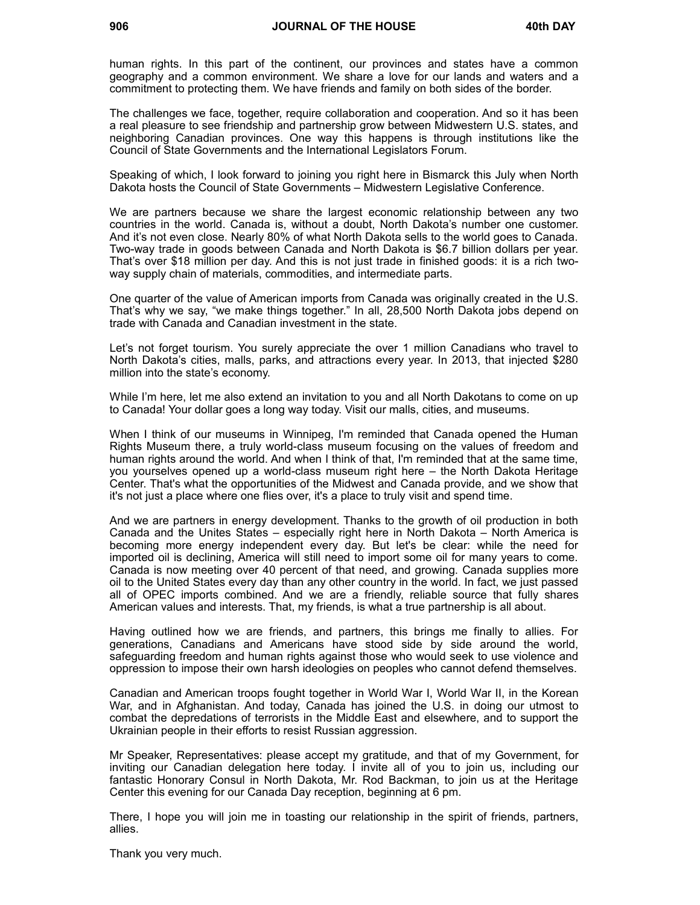human rights. In this part of the continent, our provinces and states have a common geography and a common environment. We share a love for our lands and waters and a commitment to protecting them. We have friends and family on both sides of the border.

The challenges we face, together, require collaboration and cooperation. And so it has been a real pleasure to see friendship and partnership grow between Midwestern U.S. states, and neighboring Canadian provinces. One way this happens is through institutions like the Council of State Governments and the International Legislators Forum.

Speaking of which, I look forward to joining you right here in Bismarck this July when North Dakota hosts the Council of State Governments – Midwestern Legislative Conference.

We are partners because we share the largest economic relationship between any two countries in the world. Canada is, without a doubt, North Dakota's number one customer. And it's not even close. Nearly 80% of what North Dakota sells to the world goes to Canada. Two-way trade in goods between Canada and North Dakota is \$6.7 billion dollars per year. That's over \$18 million per day. And this is not just trade in finished goods: it is a rich twoway supply chain of materials, commodities, and intermediate parts.

One quarter of the value of American imports from Canada was originally created in the U.S. That's why we say, "we make things together." In all, 28,500 North Dakota jobs depend on trade with Canada and Canadian investment in the state.

Let's not forget tourism. You surely appreciate the over 1 million Canadians who travel to North Dakota's cities, malls, parks, and attractions every year. In 2013, that injected \$280 million into the state's economy.

While I'm here, let me also extend an invitation to you and all North Dakotans to come on up to Canada! Your dollar goes a long way today. Visit our malls, cities, and museums.

When I think of our museums in Winnipeg, I'm reminded that Canada opened the Human Rights Museum there, a truly world-class museum focusing on the values of freedom and human rights around the world. And when I think of that, I'm reminded that at the same time, you yourselves opened up a world-class museum right here – the North Dakota Heritage Center. That's what the opportunities of the Midwest and Canada provide, and we show that it's not just a place where one flies over, it's a place to truly visit and spend time.

And we are partners in energy development. Thanks to the growth of oil production in both Canada and the Unites States – especially right here in North Dakota – North America is becoming more energy independent every day. But let's be clear: while the need for imported oil is declining, America will still need to import some oil for many years to come. Canada is now meeting over 40 percent of that need, and growing. Canada supplies more oil to the United States every day than any other country in the world. In fact, we just passed all of OPEC imports combined. And we are a friendly, reliable source that fully shares American values and interests. That, my friends, is what a true partnership is all about.

Having outlined how we are friends, and partners, this brings me finally to allies. For generations, Canadians and Americans have stood side by side around the world, safeguarding freedom and human rights against those who would seek to use violence and oppression to impose their own harsh ideologies on peoples who cannot defend themselves.

Canadian and American troops fought together in World War I, World War II, in the Korean War, and in Afghanistan. And today, Canada has joined the U.S. in doing our utmost to combat the depredations of terrorists in the Middle East and elsewhere, and to support the Ukrainian people in their efforts to resist Russian aggression.

Mr Speaker, Representatives: please accept my gratitude, and that of my Government, for inviting our Canadian delegation here today. I invite all of you to join us, including our fantastic Honorary Consul in North Dakota, Mr. Rod Backman, to join us at the Heritage Center this evening for our Canada Day reception, beginning at 6 pm.

There, I hope you will join me in toasting our relationship in the spirit of friends, partners, allies.

Thank you very much.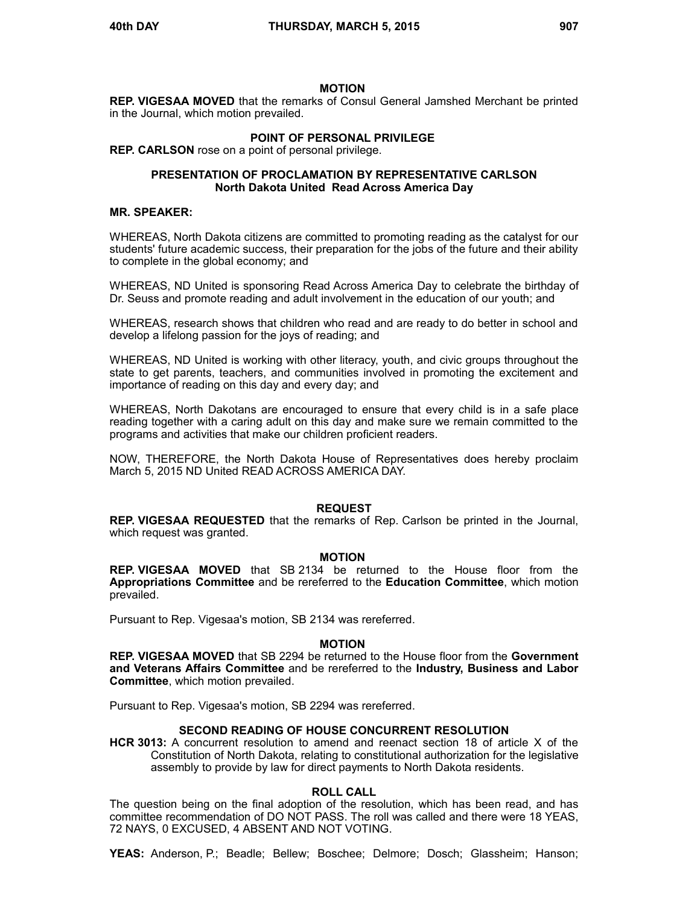## **MOTION**

**REP. VIGESAA MOVED** that the remarks of Consul General Jamshed Merchant be printed in the Journal, which motion prevailed.

## **POINT OF PERSONAL PRIVILEGE**

**REP. CARLSON** rose on a point of personal privilege.

## **PRESENTATION OF PROCLAMATION BY REPRESENTATIVE CARLSON North Dakota United Read Across America Day**

## **MR. SPEAKER:**

WHEREAS, North Dakota citizens are committed to promoting reading as the catalyst for our students' future academic success, their preparation for the jobs of the future and their ability to complete in the global economy; and

WHEREAS, ND United is sponsoring Read Across America Day to celebrate the birthday of Dr. Seuss and promote reading and adult involvement in the education of our youth; and

WHEREAS, research shows that children who read and are ready to do better in school and develop a lifelong passion for the joys of reading; and

WHEREAS, ND United is working with other literacy, youth, and civic groups throughout the state to get parents, teachers, and communities involved in promoting the excitement and importance of reading on this day and every day; and

WHEREAS, North Dakotans are encouraged to ensure that every child is in a safe place reading together with a caring adult on this day and make sure we remain committed to the programs and activities that make our children proficient readers.

NOW, THEREFORE, the North Dakota House of Representatives does hereby proclaim March 5, 2015 ND United READ ACROSS AMERICA DAY.

## **REQUEST**

**REP. VIGESAA REQUESTED** that the remarks of Rep. Carlson be printed in the Journal, which request was granted.

### **MOTION**

**REP. VIGESAA MOVED** that SB 2134 be returned to the House floor from the **Appropriations Committee** and be rereferred to the **Education Committee**, which motion prevailed.

Pursuant to Rep. Vigesaa's motion, SB 2134 was rereferred.

### **MOTION**

**REP. VIGESAA MOVED** that SB 2294 be returned to the House floor from the **Government and Veterans Affairs Committee** and be rereferred to the **Industry, Business and Labor Committee**, which motion prevailed.

Pursuant to Rep. Vigesaa's motion, SB 2294 was rereferred.

### **SECOND READING OF HOUSE CONCURRENT RESOLUTION**

**HCR 3013:** A concurrent resolution to amend and reenact section 18 of article X of the Constitution of North Dakota, relating to constitutional authorization for the legislative assembly to provide by law for direct payments to North Dakota residents.

### **ROLL CALL**

The question being on the final adoption of the resolution, which has been read, and has committee recommendation of DO NOT PASS. The roll was called and there were 18 YEAS, 72 NAYS, 0 EXCUSED, 4 ABSENT AND NOT VOTING.

**YEAS:** Anderson, P.; Beadle; Bellew; Boschee; Delmore; Dosch; Glassheim; Hanson;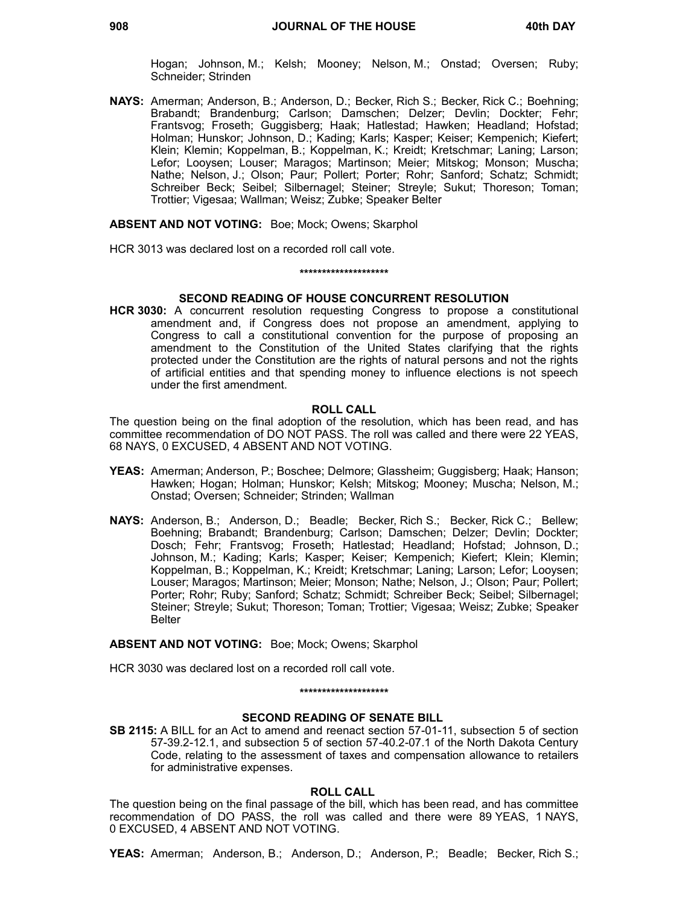Hogan; Johnson, M.; Kelsh; Mooney; Nelson, M.; Onstad; Oversen; Ruby; Schneider; Strinden

**NAYS:** Amerman; Anderson, B.; Anderson, D.; Becker, Rich S.; Becker, Rick C.; Boehning; Brabandt; Brandenburg; Carlson; Damschen; Delzer; Devlin; Dockter; Fehr; Frantsvog; Froseth; Guggisberg; Haak; Hatlestad; Hawken; Headland; Hofstad; Holman; Hunskor; Johnson, D.; Kading; Karls; Kasper; Keiser; Kempenich; Kiefert; Klein; Klemin; Koppelman, B.; Koppelman, K.; Kreidt; Kretschmar; Laning; Larson; Lefor; Looysen; Louser; Maragos; Martinson; Meier; Mitskog; Monson; Muscha; Nathe; Nelson, J.; Olson; Paur; Pollert; Porter; Rohr; Sanford; Schatz; Schmidt; Schreiber Beck; Seibel; Silbernagel; Steiner; Streyle; Sukut; Thoreson; Toman; Trottier; Vigesaa; Wallman; Weisz; Zubke; Speaker Belter

### **ABSENT AND NOT VOTING:** Boe; Mock; Owens; Skarphol

HCR 3013 was declared lost on a recorded roll call vote.

### **\*\*\*\*\*\*\*\*\*\*\*\*\*\*\*\*\*\*\*\***

## **SECOND READING OF HOUSE CONCURRENT RESOLUTION**

**HCR 3030:** A concurrent resolution requesting Congress to propose a constitutional amendment and, if Congress does not propose an amendment, applying to Congress to call a constitutional convention for the purpose of proposing an amendment to the Constitution of the United States clarifying that the rights protected under the Constitution are the rights of natural persons and not the rights of artificial entities and that spending money to influence elections is not speech under the first amendment.

### **ROLL CALL**

The question being on the final adoption of the resolution, which has been read, and has committee recommendation of DO NOT PASS. The roll was called and there were 22 YEAS, 68 NAYS, 0 EXCUSED, 4 ABSENT AND NOT VOTING.

- **YEAS:** Amerman; Anderson, P.; Boschee; Delmore; Glassheim; Guggisberg; Haak; Hanson; Hawken; Hogan; Holman; Hunskor; Kelsh; Mitskog; Mooney; Muscha; Nelson, M.; Onstad; Oversen; Schneider; Strinden; Wallman
- **NAYS:** Anderson, B.; Anderson, D.; Beadle; Becker, Rich S.; Becker, Rick C.; Bellew; Boehning; Brabandt; Brandenburg; Carlson; Damschen; Delzer; Devlin; Dockter; Dosch; Fehr; Frantsvog; Froseth; Hatlestad; Headland; Hofstad; Johnson, D.; Johnson, M.; Kading; Karls; Kasper; Keiser; Kempenich; Kiefert; Klein; Klemin; Koppelman, B.; Koppelman, K.; Kreidt; Kretschmar; Laning; Larson; Lefor; Looysen; Louser; Maragos; Martinson; Meier; Monson; Nathe; Nelson, J.; Olson; Paur; Pollert; Porter; Rohr; Ruby; Sanford; Schatz; Schmidt; Schreiber Beck; Seibel; Silbernagel; Steiner; Streyle; Sukut; Thoreson; Toman; Trottier; Vigesaa; Weisz; Zubke; Speaker Belter

## **ABSENT AND NOT VOTING:** Boe; Mock; Owens; Skarphol

HCR 3030 was declared lost on a recorded roll call vote.

### **\*\*\*\*\*\*\*\*\*\*\*\*\*\*\*\*\*\*\*\***

### **SECOND READING OF SENATE BILL**

**SB 2115:** A BILL for an Act to amend and reenact section 57-01-11, subsection 5 of section 57-39.2-12.1, and subsection 5 of section 57-40.2-07.1 of the North Dakota Century Code, relating to the assessment of taxes and compensation allowance to retailers for administrative expenses.

### **ROLL CALL**

The question being on the final passage of the bill, which has been read, and has committee recommendation of DO PASS, the roll was called and there were 89 YEAS, 1 NAYS, 0 EXCUSED, 4 ABSENT AND NOT VOTING.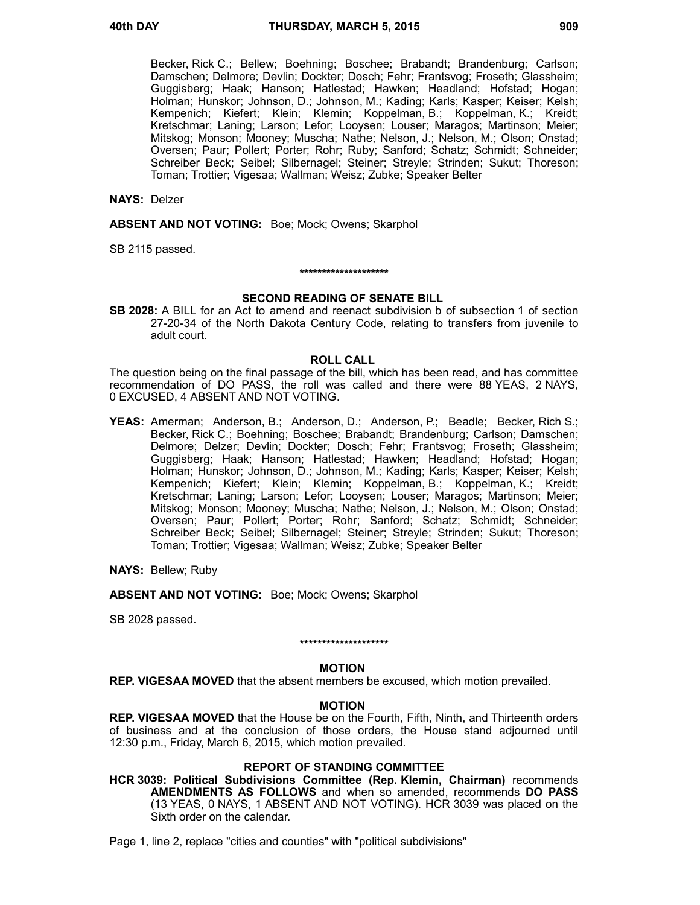Becker, Rick C.; Bellew; Boehning; Boschee; Brabandt; Brandenburg; Carlson; Damschen; Delmore; Devlin; Dockter; Dosch; Fehr; Frantsvog; Froseth; Glassheim; Guggisberg; Haak; Hanson; Hatlestad; Hawken; Headland; Hofstad; Hogan; Holman; Hunskor; Johnson, D.; Johnson, M.; Kading; Karls; Kasper; Keiser; Kelsh; Kempenich; Kiefert; Klein; Klemin; Koppelman, B.; Koppelman, K.; Kreidt; Kretschmar; Laning; Larson; Lefor; Looysen; Louser; Maragos; Martinson; Meier; Mitskog; Monson; Mooney; Muscha; Nathe; Nelson, J.; Nelson, M.; Olson; Onstad; Oversen; Paur; Pollert; Porter; Rohr; Ruby; Sanford; Schatz; Schmidt; Schneider; Schreiber Beck; Seibel; Silbernagel; Steiner; Streyle; Strinden; Sukut; Thoreson; Toman; Trottier; Vigesaa; Wallman; Weisz; Zubke; Speaker Belter

### **NAYS:** Delzer

**ABSENT AND NOT VOTING:** Boe; Mock; Owens; Skarphol

SB 2115 passed.

### **\*\*\*\*\*\*\*\*\*\*\*\*\*\*\*\*\*\*\*\***

### **SECOND READING OF SENATE BILL**

**SB 2028:** A BILL for an Act to amend and reenact subdivision b of subsection 1 of section 27-20-34 of the North Dakota Century Code, relating to transfers from juvenile to adult court.

### **ROLL CALL**

The question being on the final passage of the bill, which has been read, and has committee recommendation of DO PASS, the roll was called and there were 88 YEAS, 2 NAYS, 0 EXCUSED, 4 ABSENT AND NOT VOTING.

**YEAS:** Amerman; Anderson, B.; Anderson, D.; Anderson, P.; Beadle; Becker, Rich S.; Becker, Rick C.; Boehning; Boschee; Brabandt; Brandenburg; Carlson; Damschen; Delmore; Delzer; Devlin; Dockter; Dosch; Fehr; Frantsvog; Froseth; Glassheim; Guggisberg; Haak; Hanson; Hatlestad; Hawken; Headland; Hofstad; Hogan; Holman; Hunskor; Johnson, D.; Johnson, M.; Kading; Karls; Kasper; Keiser; Kelsh; Kempenich; Kiefert; Klein; Klemin; Koppelman, B.; Koppelman, K.; Kreidt; Kretschmar; Laning; Larson; Lefor; Looysen; Louser; Maragos; Martinson; Meier; Mitskog; Monson; Mooney; Muscha; Nathe; Nelson, J.; Nelson, M.; Olson; Onstad; Oversen; Paur; Pollert; Porter; Rohr; Sanford; Schatz; Schmidt; Schneider; Schreiber Beck; Seibel; Silbernagel; Steiner; Streyle; Strinden; Sukut; Thoreson; Toman; Trottier; Vigesaa; Wallman; Weisz; Zubke; Speaker Belter

**NAYS:** Bellew; Ruby

**ABSENT AND NOT VOTING:** Boe; Mock; Owens; Skarphol

SB 2028 passed.

# **\*\*\*\*\*\*\*\*\*\*\*\*\*\*\*\*\*\*\*\***

## **MOTION**

**REP. VIGESAA MOVED** that the absent members be excused, which motion prevailed.

### **MOTION**

**REP. VIGESAA MOVED** that the House be on the Fourth, Fifth, Ninth, and Thirteenth orders of business and at the conclusion of those orders, the House stand adjourned until 12:30 p.m., Friday, March 6, 2015, which motion prevailed.

## **REPORT OF STANDING COMMITTEE**

**HCR 3039: Political Subdivisions Committee (Rep. Klemin, Chairman)** recommends **AMENDMENTS AS FOLLOWS** and when so amended, recommends **DO PASS** (13 YEAS, 0 NAYS, 1 ABSENT AND NOT VOTING). HCR 3039 was placed on the Sixth order on the calendar.

Page 1, line 2, replace "cities and counties" with "political subdivisions"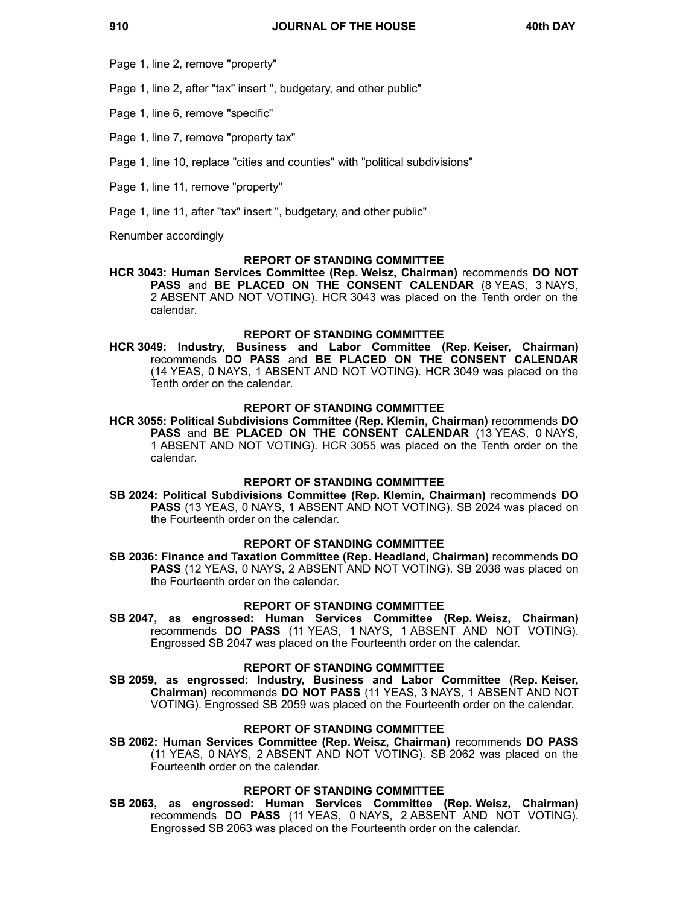Page 1, line 2, remove "property"

Page 1, line 2, after "tax" insert ", budgetary, and other public"

Page 1, line 6, remove "specific"

Page 1, line 7, remove "property tax"

Page 1, line 10, replace "cities and counties" with "political subdivisions"

Page 1, line 11, remove "property"

Page 1, line 11, after "tax" insert ", budgetary, and other public"

Renumber accordingly

### **REPORT OF STANDING COMMITTEE**

**HCR 3043: Human Services Committee (Rep. Weisz, Chairman)** recommends **DO NOT PASS** and **BE PLACED ON THE CONSENT CALENDAR** (8 YEAS, 3 NAYS, 2 ABSENT AND NOT VOTING). HCR 3043 was placed on the Tenth order on the calendar.

### **REPORT OF STANDING COMMITTEE**

**HCR 3049: Industry, Business and Labor Committee (Rep. Keiser, Chairman)** recommends **DO PASS** and **BE PLACED ON THE CONSENT CALENDAR** (14 YEAS, 0 NAYS, 1 ABSENT AND NOT VOTING). HCR 3049 was placed on the Tenth order on the calendar.

### **REPORT OF STANDING COMMITTEE**

**HCR 3055: Political Subdivisions Committee (Rep. Klemin, Chairman)** recommends **DO** PASS and **BE PLACED ON THE CONSENT CALENDAR** (13 YEAS, 0 NAYS, 1 ABSENT AND NOT VOTING). HCR 3055 was placed on the Tenth order on the calendar.

## **REPORT OF STANDING COMMITTEE**

**SB 2024: Political Subdivisions Committee (Rep. Klemin, Chairman)** recommends **DO PASS** (13 YEAS, 0 NAYS, 1 ABSENT AND NOT VOTING). SB 2024 was placed on the Fourteenth order on the calendar.

### **REPORT OF STANDING COMMITTEE**

**SB 2036: Finance and Taxation Committee (Rep. Headland, Chairman)** recommends **DO PASS** (12 YEAS, 0 NAYS, 2 ABSENT AND NOT VOTING). SB 2036 was placed on the Fourteenth order on the calendar.

## **REPORT OF STANDING COMMITTEE**

**SB 2047, as engrossed: Human Services Committee (Rep. Weisz, Chairman)** recommends **DO PASS** (11 YEAS, 1 NAYS, 1 ABSENT AND NOT VOTING). Engrossed SB 2047 was placed on the Fourteenth order on the calendar.

### **REPORT OF STANDING COMMITTEE**

**SB 2059, as engrossed: Industry, Business and Labor Committee (Rep. Keiser, Chairman)** recommends **DO NOT PASS** (11 YEAS, 3 NAYS, 1 ABSENT AND NOT VOTING). Engrossed SB 2059 was placed on the Fourteenth order on the calendar.

# **REPORT OF STANDING COMMITTEE**

**SB 2062: Human Services Committee (Rep. Weisz, Chairman)** recommends **DO PASS** (11 YEAS, 0 NAYS, 2 ABSENT AND NOT VOTING). SB 2062 was placed on the Fourteenth order on the calendar.

### **REPORT OF STANDING COMMITTEE**

**SB 2063, as engrossed: Human Services Committee (Rep. Weisz, Chairman)** recommends **DO PASS** (11 YEAS, 0 NAYS, 2 ABSENT AND NOT VOTING). Engrossed SB 2063 was placed on the Fourteenth order on the calendar.